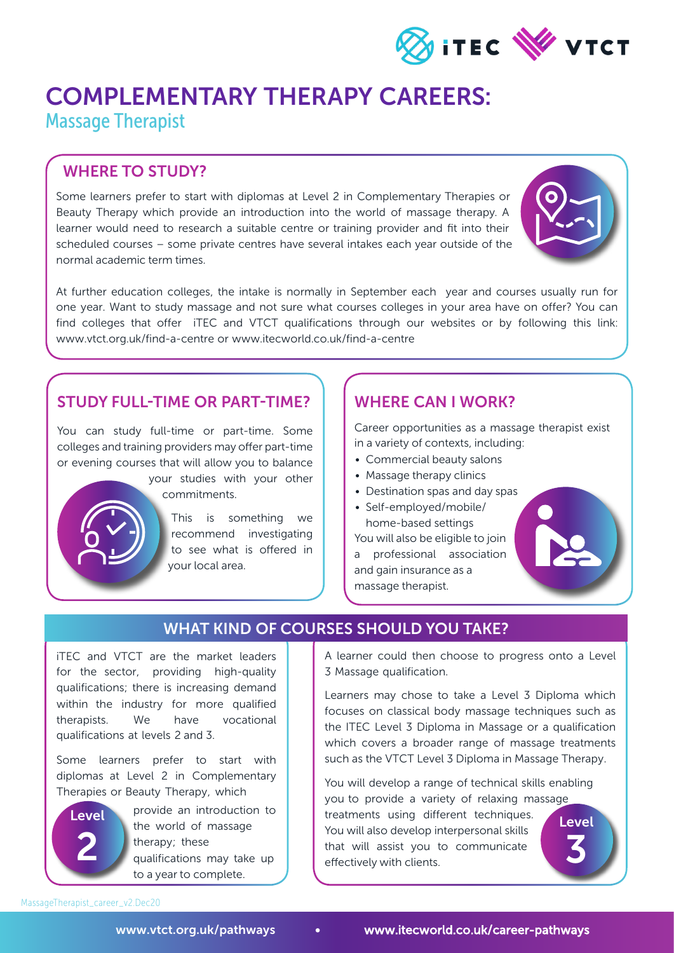

## COMPLEMENTARY THERAPY CAREERS: Massage Therapist

## WHERE TO STUDY?

Some learners prefer to start with diplomas at Level 2 in Complementary Therapies or Beauty Therapy which provide an introduction into the world of massage therapy. A learner would need to research a suitable centre or training provider and fit into their scheduled courses – some private centres have several intakes each year outside of the normal academic term times.



At further education colleges, the intake is normally in September each year and courses usually run for one year. Want to study massage and not sure what courses colleges in your area have on offer? You can find colleges that offer iTEC and VTCT qualifications through our websites or by following this link: www.vtct.org.uk/find-a-centre or www.itecworld.co.uk/find-a-centre

#### STUDY FULL-TIME OR PART-TIME?

You can study full-time or part-time. Some colleges and training providers may offer part-time or evening courses that will allow you to balance

> your studies with your other commitments.

This is something we recommend investigating to see what is offered in your local area.

### WHERE CAN I WORK?

Career opportunities as a massage therapist exist in a variety of contexts, including:

- Commercial beauty salons
- Massage therapy clinics
- Destination spas and day spas
- Self-employed/mobile/ home-based settings You will also be eligible to join

a professional association and gain insurance as a massage therapist.



### WHAT KIND OF COURSES SHOULD YOU TAKE?

iTEC and VTCT are the market leaders for the sector, providing high-quality qualifications; there is increasing demand within the industry for more qualified therapists. We have vocational qualifications at levels 2 and 3.

Some learners prefer to start with diplomas at Level 2 in Complementary Therapies or Beauty Therapy, which



provide an introduction to the world of massage therapy; these qualifications may take up to a year to complete.

A learner could then choose to progress onto a Level 3 Massage qualification.

Learners may chose to take a Level 3 Diploma which focuses on classical body massage techniques such as the ITEC Level 3 Diploma in Massage or a qualification which covers a broader range of massage treatments such as the VTCT Level 3 Diploma in Massage Therapy.

You will develop a range of technical skills enabling you to provide a variety of relaxing massage treatments using different techniques. You will also develop interpersonal skills that will assist you to communicate effectively with clients. Level 3

MassageTherapist\_career\_v2.Dec20